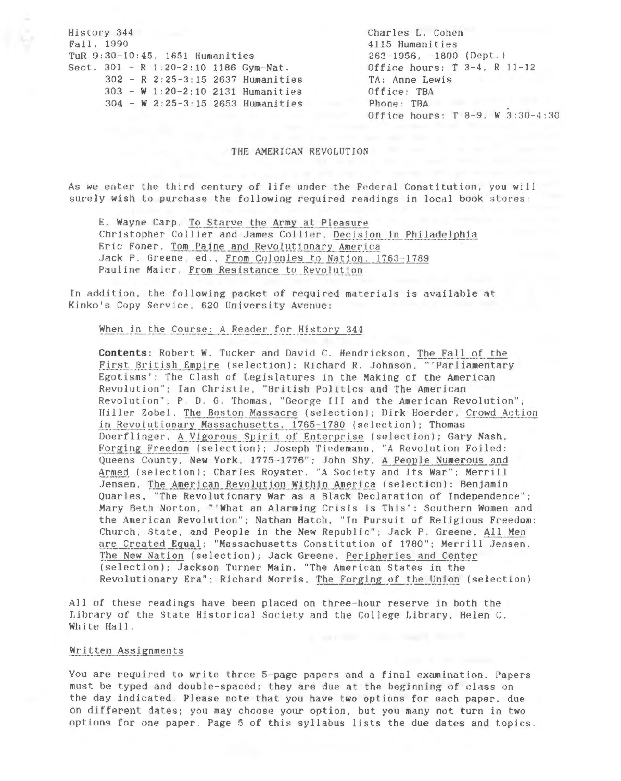History 344 Fall, 1990 TuR 9:30-10:45, 1651 Humanities Sect.  $301 - R$  1:20-2:10 1186 Gym-Nat.  $302 - R$  2:25-3:15 2637 Humanities 303 - W 1:20-2:10 2131 Humanities 304 - W 2:25-3:15 2653 Humanities Charles L. Cohen 4115 Humanities  $263 - 1956$ ,  $-1800$  (Dept.) Office hours:  $T$  3-4, R 11-12 TA: Anne Lewis Office: TBA Phone: TBA Office hours: T 8-9, W 3:30-4:30

#### THE AMERICAN REVOLUTION

As we enter the third century of life under the Federal Constitution, you will surely wish to purchase the following required readings in local book stores:

E. Wayne Carp, To Starve the Army at Pleasure Christopher Collier and James Collier, Decision in Philadelphia Eric Foner, Tom Paine and Revolutionary America Jack P. Greene, ed., From Colonies to Nation, 1763-1789 Pauline Maier, From Resistance to Revolution

In addition, the following packet of required materials is available at Kinko's Copy Service, 620 University Avenue:

When in the Course: A Reader for History 344

Contents: Robert W. Tucker and David C. Hendrickson, The Fall of the First British Empire (selection); Richard R. Johnson, "'Parliamentary Egotisms': The Clash of Legislatures in the Making of the American Revolution"; Ian Christie, "British Politics and The American Revolution"; P. D. G. Thomas, "George III and the American Revolution"; Hiller Zobel, The Boston Massacre (selection); Dirk Hoerder, Crowd Action in Revolutionary Massachusetts, 1765-1780 (selection); Thomas Doerflinger, A Vigorous Spirit of Enterprise (selection); Gary Nash, Forging Freedom (selection); Joseph Tiedemann, "A Revolution Foiled: Queens County, New York, 1775-1776"; John Shy, A People Numerous and Armed (selection); Charles Royster, "A Society and Its War"; Merrill Jensen, The American Revolution Within America (selection); Benjamin Quarles, "The Revolutionary War as a Black Declaration of Independence"; Mary Beth Norton, "'What an Alarming Crisis is This': Southern Women and the American Revolution"; Nathan Hatch, "In Pursuit of Religious Freedom: Church, State, and People in the New Republic"; Jack P. Greene, All Men are Created Equal; "Massachusetts Constitution of 1780"; Merrill Jensen, The New Nation (selection); Jack Greene, Peripheries and Center (selection); Jackson Turner Main, "The American States in the Revolutionary Era"; Richard Morris, The Forging of the Union (selection)

All of these readings have been placed on three-hour reserve in both the Library of the State Historical Society and the College Library, Helen C. White Hall.

# Written Assignments

You are required to write three 5-page papers and a final examination. Papers must be typed and double-spaced; they are due at the beginning of class on the day indicated. Please note that you have two options for each paper, due on different dates; you may choose your option, but you many not turn in two options for one paper. Page 5 of this syllabus lists the due dates and topics.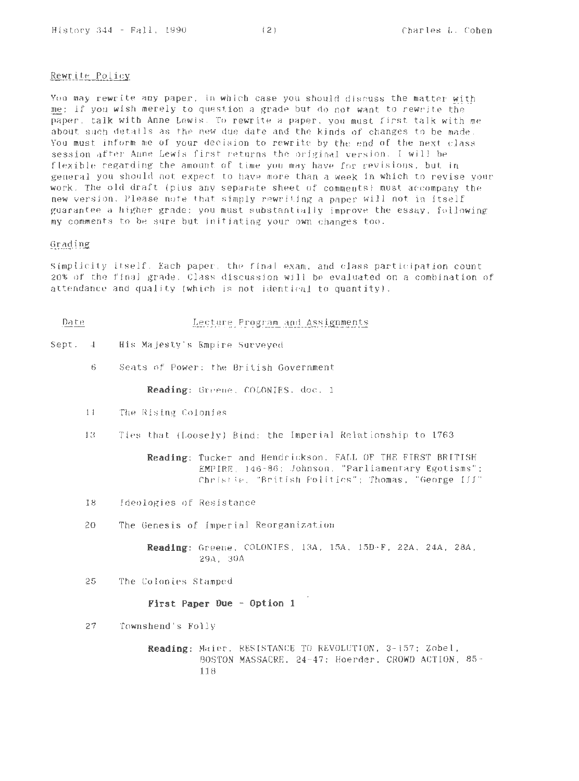# Rewrite Policy

You may rewrite any paper, in which case you should discuss the matter with me; if you wish merely to question a grade but do not want to rewrite the paper, talk with Anne Lewis. To rewrite a paper, you must first talk with me about such details as the new due date and the kinds of changes to be made. You must inform me of your decision to rewrite by the end of the next class session after Anne Lewis first returns the original version. I will be flexible regarding the amount of time you may have for revisions. but in general you should not expect to have more than a week in which to revise your work. The old draft (plus any separate sheet of comments) must accompany the new version. Please note that simply rewriting a paper will not in itself guarantee a higher grade: you must substantially improve the essay, following my comments to be sure but initiating your own changes too.

# Grading

Simplicity itself. Each paper. the final exam, and class participation count 20% of the final grade. Class discussion will be evaluated on a combination of attendance and quality (which is not identical to quantity).

- Lecture Program and Assignments Date
- Sept. 4 His Majesty 's Empire Surveyed
	- 6 Seats nf Power: the British Government

**Reading:** Greene. COLONIES, doc. 1

- 11 The Rising Colonies
- 13 Ties that (Loosely) Bind: the Imperial Relationship to 1763

**Reading:** Tucker and Hendrickson, FALL OF THE FIRST BRITISH EMPIRE, 146-86; Johnson, "Parliamentary Egotisms": Christie. "British Politics": Thomas. "George III"

- 18 Ideologjes of Resistance
- 20 The Genesis of Imperial Reorganization

**Readi ng :** Greene, COLONIES, 13A, 15A, 150-F, 22A, 24A, 28A. 29A, 30A

25 The Colonies Stamped

**Fir st Paper Due - Option 1** 

27 Townshend's Folly

**Readi ng :** Maier, RESISTANCE TO REVOLUTION, 3-157: Zobel, BOSTON MASSACRE, 24- 47; Hoerder, CROWD ACTION, 85- 118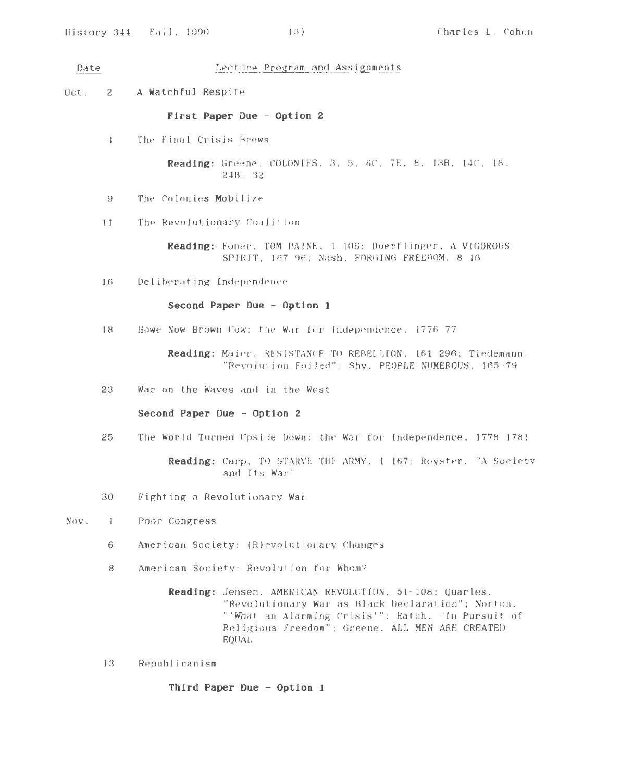Date

# Lecture Program and Assignments

 $0ct. 2$ **A Watchful Respite** 

#### **First Paper Due - Option 2**

4 The Final Crisis Brews

**Reading:** Greene, COLONIES, 3, 5, 6C, 7E, 8, 13B, 14C, 18. 24B. 32

- 9 The Colonies Mobilize
- 11 The Revolutionary Coalition

**Reading:** Foner. TOM PAINE. 1 106; Doerflinger, A VIGOROUS SPIRIT, 167-96; Nash, FORGING FREEDOM. 8-16.

16 Deliberating Independence

**Second Paper Due - Option 1** 

18 Howe Now Brown Cow: the War fnr Independence, 1776- 77

Reading: MaiPr. RESISTANCE TO REBELLION, 161 296; Tiedemann, "Revolution Foiled"; Shy, PEOPLE NUMEROUS, 165- 79

23 War on the Waves and in the West

**Second Paper Due - Option 2** 

25 The World Turned Ups ide Down: the War for Independence, 1778- 1781

**Reading:** Carp, TO STARVE THE ARMY, 1- 167; Royster, "A Society and Its War"

- 30 Fighting a Revolutionary War
- Nov. 1 Poor Congress
	- 6 American Society: (R)evolutinnary Changes
	- 8 American Society: Revolution for Whom?

**Reading:** Jensen, AMERICAN REVOLUTION. 51-108; Quarles, "Revolutionary War as Black Declaration"; Norton, "'What an Alarming Crisis'"; Hatch, "In Pursuit of Religious Freedom"; Greene, ALL MEN ARE CREATEO EQUAL

13 Republicanism

**Third Paper Due - Option 1**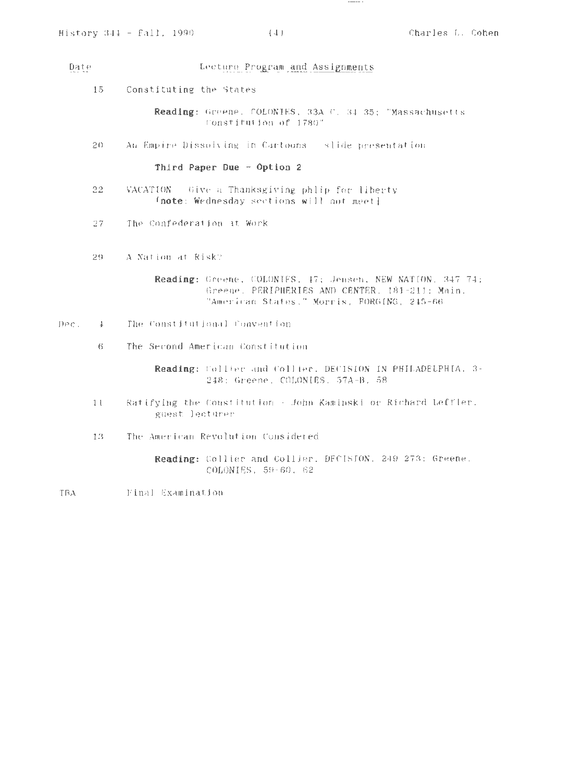#### Date Lecture Program and Assignments

15 Constituting the States

> **Reading:** Greene, COLONIES, 33A-C. 34-35; "Massachusetts Constitution of 1780"

20 Au Empire Dissolving in Cartoons - slide presentation

# **Third Paper Due - Option 2**

- 22 VACATION Give a Thanksgiving phlip for liberty **[note :** Wednesday sections will not meetJ
- 27 The Confederation at Work
- 29 A Nation at Risk?

**Reading:** Greene, COLONIES, 47; Jensen, NEW NATION, 347-74; Greene, PERIPHERIES AND CENTER, 181-211; Main , "American States." Morris, FORGING, 245-66

- Dec. 4 The Constitutional Convention
	- 6 The Second American Constitution

**Reading:** Collier and Collier, DECISION IN PHILADELPHIA, 3- 248: Greene, COLONIES. 57A-B, 58

- 11 Ratifying the Constitution- John Kaminski or Richard Leffler, guest lecturer
- 13 The American Revolution Considered

**Reading:** Collier and Collier, DECISION, 249-273; Greene, COLONIES, 59-60, 62

TBA Pinal Examination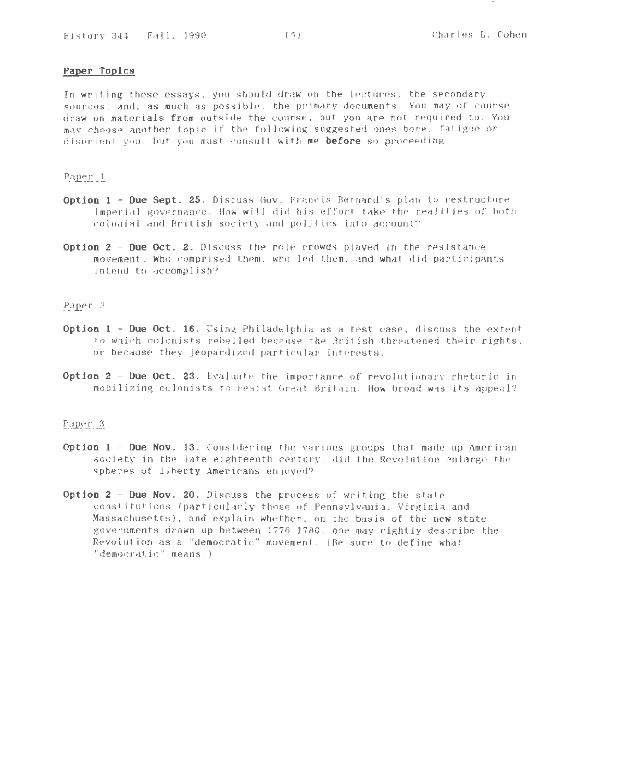# **Paper Topics**

In writing these essays, you should draw on the lectures, the secondary sources, and, as much as possible, the primary documents. You may of course draw on materials from outside the course, but you are not required to. You may choose another topic if the following suggested ones bore, fatigue or disorient you. hut you must consult with me **before** so proceeding.

# Paper 1

- **Option 1 - Due Sept. 25.** Discuss Gov. Francis Bernard's plan to restructure imperial governance. How will did his effort take the realities of both colonial and British society and politics into account?
- **Option 2 - Due Oct. 2.** Discuss the role crowds played in the resistance movement. Who comprised them, who led them, and what did participants intend to accomplish?

# Paper 2

- **Option 1 Due Oct. 16.** Using Philadelphia as a test case, discuss the extent to which colonists rebelled because the British threatened their rights, or because they jeopardized particular interests.
- **Option 2 Due Oct. 23.** Evaluate the importance of revolutionary rhetoric in mobilizing colonists to resist Great Britain. How broad was its appeal?

# Paper 3

- **Option 1 -Due Nov.** 13. Considering the various groups that made up American society in the late eighteenth century, did the Revolution enlarge the spheres of liberty Americans enjoyed?
- **Option 2 Due Nov. 20.** Discuss the process of writing the state constitutions (particularly those of Pennsylvania, Virginia and Massachusetts), and explain whether, on the basis of the new state governments drawn up between 1776 1780, one may rightly describe the Revolution as a "democratic" movement. (fie sure to define what "democratic" means.)